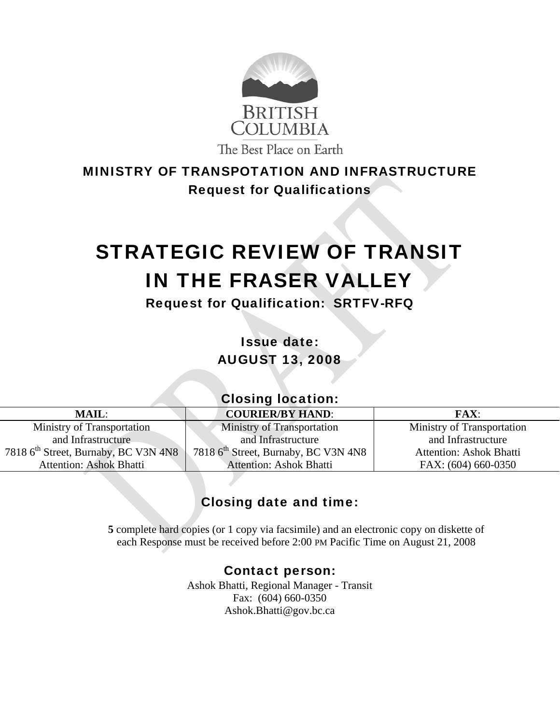

# MINISTRY OF TRANSPOTATION AND INFRASTRUCTURE Request for Qualifications

# STRATEGIC REVIEW OF TRANSIT IN THE FRASER VALLEY

Request for Qualification: SRTFV-RFQ

Issue date: AUGUST 13, 2008

# Closing location:

Ministry of Transportation and Infrastructure 7818 6<sup>th</sup> Street, Burnaby, BC V3N 4N8 Attention: Ashok Bhatti

# **MAIL: COURIER/BY HAND: FAX:**

Ministry of Transportation and Infrastructure 7818 6<sup>th</sup> Street, Burnaby, BC V3N 4N8 Attention: Ashok Bhatti

Ministry of Transportation and Infrastructure Attention: Ashok Bhatti

FAX: (604) 660-0350

# Closing date and time:

**5** complete hard copies (or 1 copy via facsimile) and an electronic copy on diskette of each Response must be received before 2:00 PM Pacific Time on August 21, 2008

# Contact person:

Ashok Bhatti, Regional Manager - Transit Fax: (604) 660-0350 Ashok.Bhatti@gov.bc.ca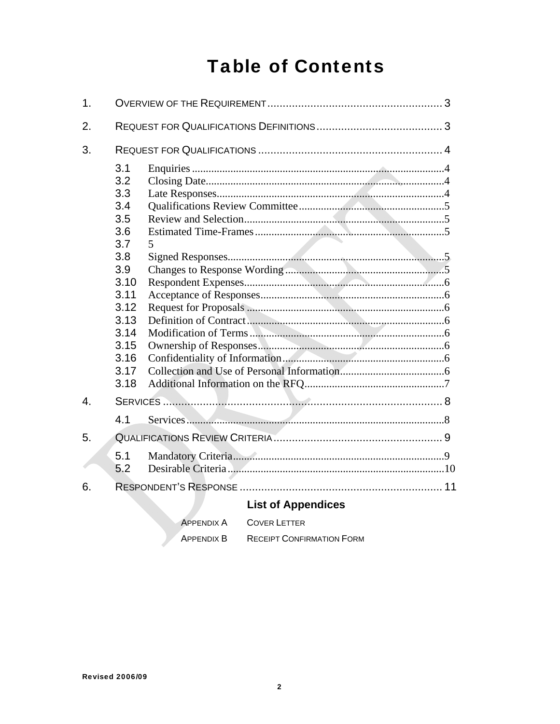# **Table of Contents**

| $\mathbf 1$ .    |                                                                                                                                     |                                          |  |  |
|------------------|-------------------------------------------------------------------------------------------------------------------------------------|------------------------------------------|--|--|
| 2.               |                                                                                                                                     |                                          |  |  |
| 3.               |                                                                                                                                     |                                          |  |  |
|                  | 3.1<br>3.2<br>3.3<br>3.4<br>3.5<br>3.6<br>3.7<br>3.8<br>3.9<br>3.10<br>3.11<br>3.12<br>3.13<br>3.14<br>3.15<br>3.16<br>3.17<br>3.18 | 5                                        |  |  |
| $\overline{4}$ . |                                                                                                                                     |                                          |  |  |
|                  | 4.1                                                                                                                                 |                                          |  |  |
| 5.               |                                                                                                                                     |                                          |  |  |
|                  | 5.1<br>5.2                                                                                                                          |                                          |  |  |
| 6.               |                                                                                                                                     |                                          |  |  |
|                  |                                                                                                                                     | <b>List of Appendices</b>                |  |  |
|                  |                                                                                                                                     | <b>COVER LETTER</b><br><b>APPENDIX A</b> |  |  |

| APPENDIX A | <b>COVER LETTER</b>              |
|------------|----------------------------------|
| APPFNDIX B | <b>RECEIPT CONFIRMATION FORM</b> |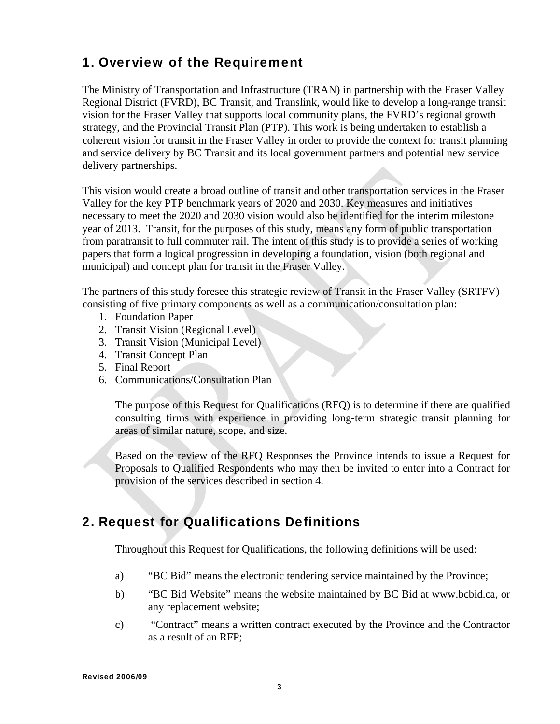# 1. Overview of the Requirement

The Ministry of Transportation and Infrastructure (TRAN) in partnership with the Fraser Valley Regional District (FVRD), BC Transit, and Translink, would like to develop a long-range transit vision for the Fraser Valley that supports local community plans, the FVRD's regional growth strategy, and the Provincial Transit Plan (PTP). This work is being undertaken to establish a coherent vision for transit in the Fraser Valley in order to provide the context for transit planning and service delivery by BC Transit and its local government partners and potential new service delivery partnerships.

This vision would create a broad outline of transit and other transportation services in the Fraser Valley for the key PTP benchmark years of 2020 and 2030. Key measures and initiatives necessary to meet the 2020 and 2030 vision would also be identified for the interim milestone year of 2013. Transit, for the purposes of this study, means any form of public transportation from paratransit to full commuter rail. The intent of this study is to provide a series of working papers that form a logical progression in developing a foundation, vision (both regional and municipal) and concept plan for transit in the Fraser Valley.

The partners of this study foresee this strategic review of Transit in the Fraser Valley (SRTFV) consisting of five primary components as well as a communication/consultation plan:

- 1. Foundation Paper
- 2. Transit Vision (Regional Level)
- 3. Transit Vision (Municipal Level)
- 4. Transit Concept Plan
- 5. Final Report
- 6. Communications/Consultation Plan

The purpose of this Request for Qualifications (RFQ) is to determine if there are qualified consulting firms with experience in providing long-term strategic transit planning for areas of similar nature, scope, and size.

Based on the review of the RFQ Responses the Province intends to issue a Request for Proposals to Qualified Respondents who may then be invited to enter into a Contract for provision of the services described in section 4.

# 2. Request for Qualifications Definitions

Throughout this Request for Qualifications, the following definitions will be used:

- a) "BC Bid" means the electronic tendering service maintained by the Province;
- b) "BC Bid Website" means the website maintained by BC Bid at www.bcbid.ca, or any replacement website;
- c) "Contract" means a written contract executed by the Province and the Contractor as a result of an RFP;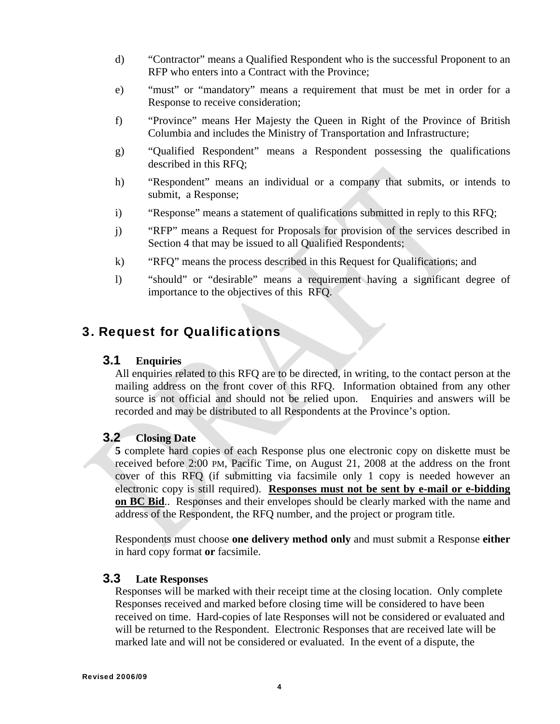- d) "Contractor" means a Qualified Respondent who is the successful Proponent to an RFP who enters into a Contract with the Province;
- e) "must" or "mandatory" means a requirement that must be met in order for a Response to receive consideration;
- f) "Province" means Her Majesty the Queen in Right of the Province of British Columbia and includes the Ministry of Transportation and Infrastructure;
- g) "Qualified Respondent" means a Respondent possessing the qualifications described in this RFQ;
- h) "Respondent" means an individual or a company that submits, or intends to submit, a Response;
- i) "Response" means a statement of qualifications submitted in reply to this RFQ;
- j) "RFP" means a Request for Proposals for provision of the services described in Section 4 that may be issued to all Qualified Respondents;
- k) "RFQ" means the process described in this Request for Qualifications; and
- l) "should" or "desirable" means a requirement having a significant degree of importance to the objectives of this RFQ.

### 3. Request for Qualifications

#### **3.1 Enquiries**

All enquiries related to this RFQ are to be directed, in writing, to the contact person at the mailing address on the front cover of this RFQ. Information obtained from any other source is not official and should not be relied upon. Enquiries and answers will be recorded and may be distributed to all Respondents at the Province's option.

#### **3.2 Closing Date**

**5** complete hard copies of each Response plus one electronic copy on diskette must be received before 2:00 PM, Pacific Time, on August 21, 2008 at the address on the front cover of this RFQ (if submitting via facsimile only 1 copy is needed however an electronic copy is still required). **Responses must not be sent by e-mail or e-bidding on BC Bid**.. Responses and their envelopes should be clearly marked with the name and address of the Respondent, the RFQ number, and the project or program title.

Respondents must choose **one delivery method only** and must submit a Response **either**  in hard copy format **or** facsimile.

#### **3.3 Late Responses**

Responses will be marked with their receipt time at the closing location. Only complete Responses received and marked before closing time will be considered to have been received on time. Hard-copies of late Responses will not be considered or evaluated and will be returned to the Respondent. Electronic Responses that are received late will be marked late and will not be considered or evaluated. In the event of a dispute, the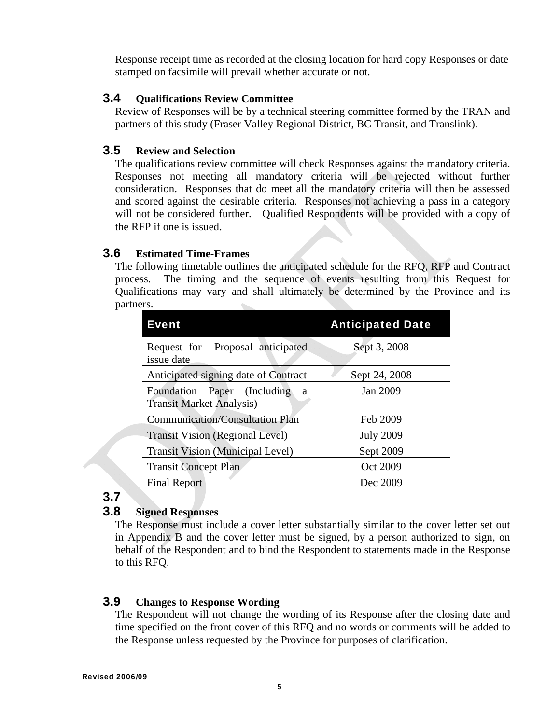Response receipt time as recorded at the closing location for hard copy Responses or date stamped on facsimile will prevail whether accurate or not.

#### **3.4 Qualifications Review Committee**

Review of Responses will be by a technical steering committee formed by the TRAN and partners of this study (Fraser Valley Regional District, BC Transit, and Translink).

#### **3.5 Review and Selection**

The qualifications review committee will check Responses against the mandatory criteria. Responses not meeting all mandatory criteria will be rejected without further consideration. Responses that do meet all the mandatory criteria will then be assessed and scored against the desirable criteria. Responses not achieving a pass in a category will not be considered further. Qualified Respondents will be provided with a copy of the RFP if one is issued.

#### **3.6 Estimated Time-Frames**

The following timetable outlines the anticipated schedule for the RFQ, RFP and Contract process. The timing and the sequence of events resulting from this Request for Qualifications may vary and shall ultimately be determined by the Province and its partners.

| <b>Event</b>                                                        | <b>Anticipated Date</b> |
|---------------------------------------------------------------------|-------------------------|
| Request for Proposal anticipated<br>issue date                      | Sept 3, 2008            |
| Anticipated signing date of Contract                                | Sept 24, 2008           |
| Foundation Paper (Including<br>a<br><b>Transit Market Analysis)</b> | Jan 2009                |
| <b>Communication/Consultation Plan</b>                              | Feb 2009                |
| <b>Transit Vision (Regional Level)</b>                              | <b>July 2009</b>        |
| <b>Transit Vision (Municipal Level)</b>                             | Sept 2009               |
| <b>Transit Concept Plan</b>                                         | Oct 2009                |
| <b>Final Report</b>                                                 | Dec 2009                |

### **3.7**

#### **3.8 Signed Responses**

The Response must include a cover letter substantially similar to the cover letter set out in Appendix B and the cover letter must be signed, by a person authorized to sign, on behalf of the Respondent and to bind the Respondent to statements made in the Response to this RFQ.

#### **3.9 Changes to Response Wording**

The Respondent will not change the wording of its Response after the closing date and time specified on the front cover of this RFQ and no words or comments will be added to the Response unless requested by the Province for purposes of clarification.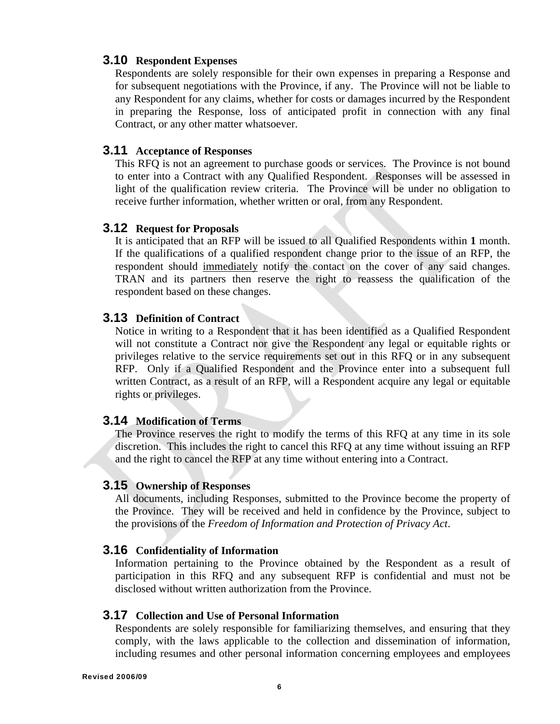#### **3.10 Respondent Expenses**

Respondents are solely responsible for their own expenses in preparing a Response and for subsequent negotiations with the Province, if any. The Province will not be liable to any Respondent for any claims, whether for costs or damages incurred by the Respondent in preparing the Response, loss of anticipated profit in connection with any final Contract, or any other matter whatsoever.

#### **3.11 Acceptance of Responses**

This RFQ is not an agreement to purchase goods or services. The Province is not bound to enter into a Contract with any Qualified Respondent. Responses will be assessed in light of the qualification review criteria. The Province will be under no obligation to receive further information, whether written or oral, from any Respondent.

#### **3.12 Request for Proposals**

It is anticipated that an RFP will be issued to all Qualified Respondents within **1** month. If the qualifications of a qualified respondent change prior to the issue of an RFP, the respondent should immediately notify the contact on the cover of any said changes. TRAN and its partners then reserve the right to reassess the qualification of the respondent based on these changes.

#### **3.13 Definition of Contract**

Notice in writing to a Respondent that it has been identified as a Qualified Respondent will not constitute a Contract nor give the Respondent any legal or equitable rights or privileges relative to the service requirements set out in this RFQ or in any subsequent RFP. Only if a Qualified Respondent and the Province enter into a subsequent full written Contract, as a result of an RFP, will a Respondent acquire any legal or equitable rights or privileges.

#### **3.14 Modification of Terms**

The Province reserves the right to modify the terms of this RFQ at any time in its sole discretion. This includes the right to cancel this RFQ at any time without issuing an RFP and the right to cancel the RFP at any time without entering into a Contract.

#### **3.15 Ownership of Responses**

All documents, including Responses, submitted to the Province become the property of the Province. They will be received and held in confidence by the Province, subject to the provisions of the *Freedom of Information and Protection of Privacy Act*.

#### **3.16 Confidentiality of Information**

Information pertaining to the Province obtained by the Respondent as a result of participation in this RFQ and any subsequent RFP is confidential and must not be disclosed without written authorization from the Province.

#### **3.17 Collection and Use of Personal Information**

Respondents are solely responsible for familiarizing themselves, and ensuring that they comply, with the laws applicable to the collection and dissemination of information, including resumes and other personal information concerning employees and employees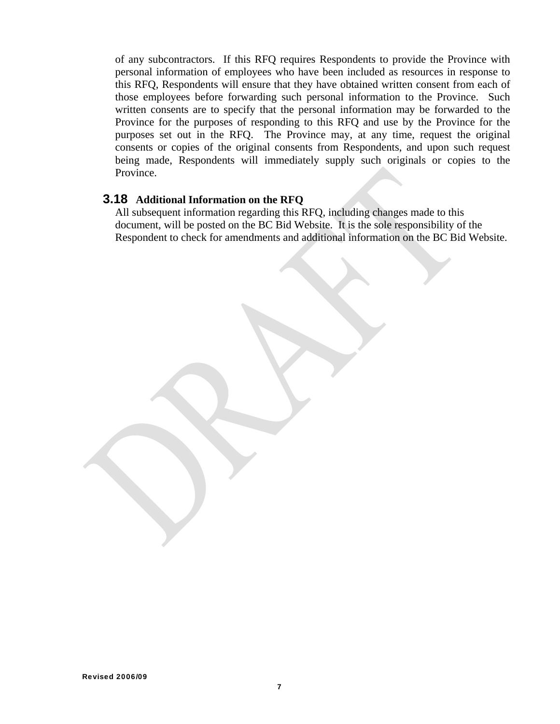of any subcontractors. If this RFQ requires Respondents to provide the Province with personal information of employees who have been included as resources in response to this RFQ, Respondents will ensure that they have obtained written consent from each of those employees before forwarding such personal information to the Province. Such written consents are to specify that the personal information may be forwarded to the Province for the purposes of responding to this RFQ and use by the Province for the purposes set out in the RFQ. The Province may, at any time, request the original consents or copies of the original consents from Respondents, and upon such request being made, Respondents will immediately supply such originals or copies to the Province.

#### **3.18 Additional Information on the RFQ**

All subsequent information regarding this RFQ, including changes made to this document, will be posted on the BC Bid Website. It is the sole responsibility of the Respondent to check for amendments and additional information on the BC Bid Website.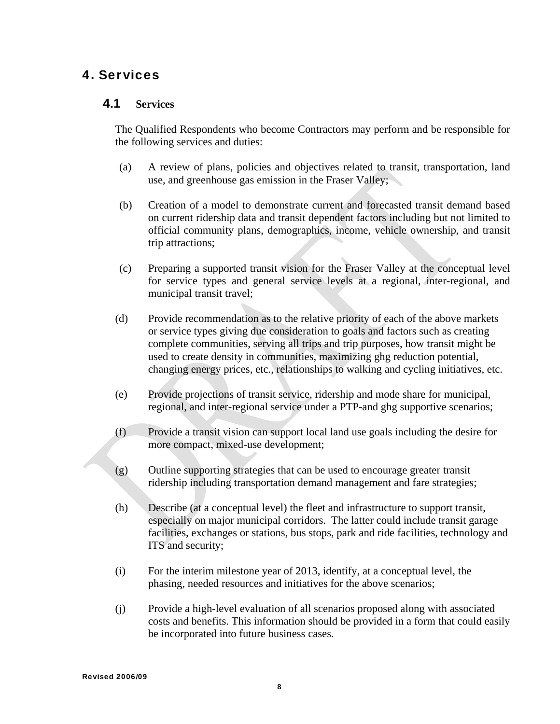# 4. Services

#### **4.1 Services**

The Qualified Respondents who become Contractors may perform and be responsible for the following services and duties:

- (a) A review of plans, policies and objectives related to transit, transportation, land use, and greenhouse gas emission in the Fraser Valley;
- (b) Creation of a model to demonstrate current and forecasted transit demand based on current ridership data and transit dependent factors including but not limited to official community plans, demographics, income, vehicle ownership, and transit trip attractions;
- (c) Preparing a supported transit vision for the Fraser Valley at the conceptual level for service types and general service levels at a regional, inter-regional, and municipal transit travel;
- (d) Provide recommendation as to the relative priority of each of the above markets or service types giving due consideration to goals and factors such as creating complete communities, serving all trips and trip purposes, how transit might be used to create density in communities, maximizing ghg reduction potential, changing energy prices, etc., relationships to walking and cycling initiatives, etc.
- (e) Provide projections of transit service, ridership and mode share for municipal, regional, and inter-regional service under a PTP-and ghg supportive scenarios;
- (f) Provide a transit vision can support local land use goals including the desire for more compact, mixed-use development;
- (g) Outline supporting strategies that can be used to encourage greater transit ridership including transportation demand management and fare strategies;
- (h) Describe (at a conceptual level) the fleet and infrastructure to support transit, especially on major municipal corridors. The latter could include transit garage facilities, exchanges or stations, bus stops, park and ride facilities, technology and ITS and security;
- (i) For the interim milestone year of 2013, identify, at a conceptual level, the phasing, needed resources and initiatives for the above scenarios;
- (j) Provide a high-level evaluation of all scenarios proposed along with associated costs and benefits. This information should be provided in a form that could easily be incorporated into future business cases.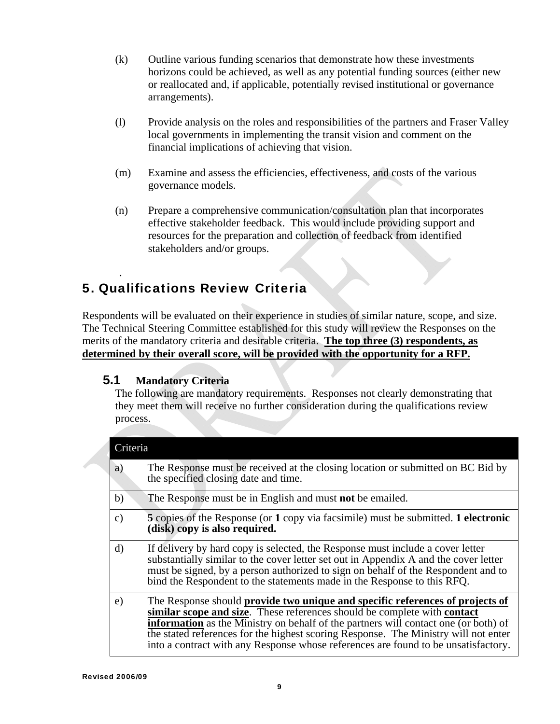- (k) Outline various funding scenarios that demonstrate how these investments horizons could be achieved, as well as any potential funding sources (either new or reallocated and, if applicable, potentially revised institutional or governance arrangements).
- (l) Provide analysis on the roles and responsibilities of the partners and Fraser Valley local governments in implementing the transit vision and comment on the financial implications of achieving that vision.
- (m) Examine and assess the efficiencies, effectiveness, and costs of the various governance models.
- (n) Prepare a comprehensive communication/consultation plan that incorporates effective stakeholder feedback. This would include providing support and resources for the preparation and collection of feedback from identified stakeholders and/or groups.

# 5. Qualifications Review Criteria

Respondents will be evaluated on their experience in studies of similar nature, scope, and size. The Technical Steering Committee established for this study will review the Responses on the merits of the mandatory criteria and desirable criteria. **The top three (3) respondents, as determined by their overall score, will be provided with the opportunity for a RFP.**

#### **5.1 Mandatory Criteria**

.

The following are mandatory requirements. Responses not clearly demonstrating that they meet them will receive no further consideration during the qualifications review process.

| Criteria      |                                                                                                                                                                                                                                                                                                                                                                                                                                      |  |  |
|---------------|--------------------------------------------------------------------------------------------------------------------------------------------------------------------------------------------------------------------------------------------------------------------------------------------------------------------------------------------------------------------------------------------------------------------------------------|--|--|
| a)            | The Response must be received at the closing location or submitted on BC Bid by<br>the specified closing date and time.                                                                                                                                                                                                                                                                                                              |  |  |
| b)            | The Response must be in English and must not be emailed.                                                                                                                                                                                                                                                                                                                                                                             |  |  |
| $\mathbf{c})$ | 5 copies of the Response (or 1 copy via facsimile) must be submitted. 1 electronic<br>(disk) copy is also required.                                                                                                                                                                                                                                                                                                                  |  |  |
| $\rm d$       | If delivery by hard copy is selected, the Response must include a cover letter<br>substantially similar to the cover letter set out in Appendix A and the cover letter<br>must be signed, by a person authorized to sign on behalf of the Respondent and to<br>bind the Respondent to the statements made in the Response to this RFQ.                                                                                               |  |  |
| e)            | The Response should provide two unique and specific references of projects of<br>similar scope and size. These references should be complete with contact<br><b>information</b> as the Ministry on behalf of the partners will contact one (or both) of<br>the stated references for the highest scoring Response. The Ministry will not enter<br>into a contract with any Response whose references are found to be unsatisfactory. |  |  |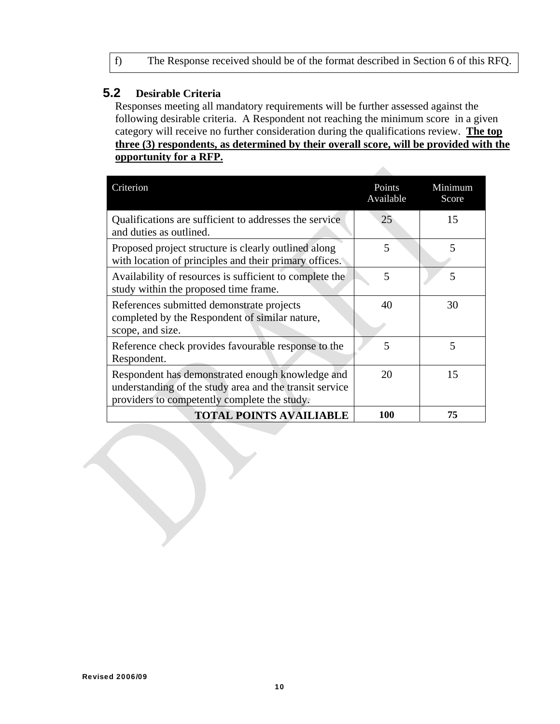#### **5.2 Desirable Criteria**

Responses meeting all mandatory requirements will be further assessed against the following desirable criteria. A Respondent not reaching the minimum score in a given category will receive no further consideration during the qualifications review. **The top three (3) respondents, as determined by their overall score, will be provided with the opportunity for a RFP.**

dia.

| Criterion                                                                                                                                                   | Points<br>Available | Minimum<br>Score |
|-------------------------------------------------------------------------------------------------------------------------------------------------------------|---------------------|------------------|
| Qualifications are sufficient to addresses the service<br>and duties as outlined.                                                                           | 25                  | 15               |
| Proposed project structure is clearly outlined along<br>with location of principles and their primary offices.                                              | 5                   | 5                |
| Availability of resources is sufficient to complete the<br>study within the proposed time frame.                                                            | 5                   | 5                |
| References submitted demonstrate projects<br>completed by the Respondent of similar nature,<br>scope, and size.                                             | 40                  | 30               |
| Reference check provides favourable response to the<br>Respondent.                                                                                          | 5                   | 5                |
| Respondent has demonstrated enough knowledge and<br>understanding of the study area and the transit service<br>providers to competently complete the study. | 20                  | 15               |
| <b>TOTAL POINTS AVAILIABLE</b>                                                                                                                              | 100                 | 75               |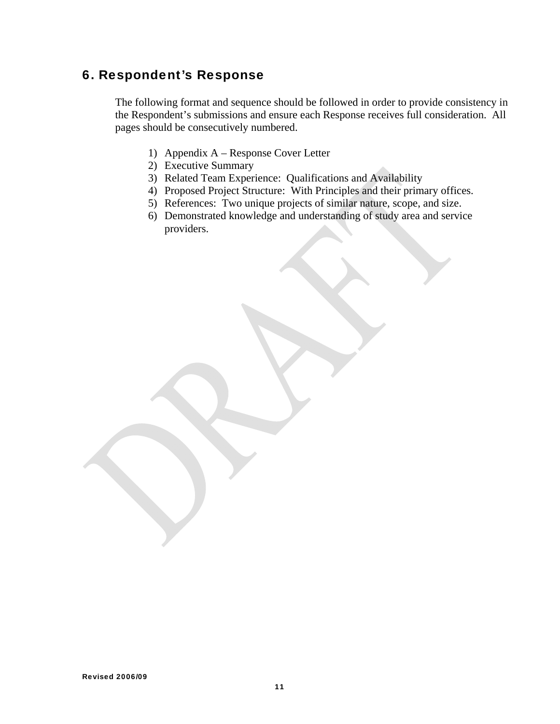# 6. Respondent's Response

The following format and sequence should be followed in order to provide consistency in the Respondent's submissions and ensure each Response receives full consideration. All pages should be consecutively numbered.

- 1) Appendix A Response Cover Letter
- 2) Executive Summary
- 3) Related Team Experience: Qualifications and Availability
- 4) Proposed Project Structure: With Principles and their primary offices.
- 5) References: Two unique projects of similar nature, scope, and size.
- 6) Demonstrated knowledge and understanding of study area and service providers.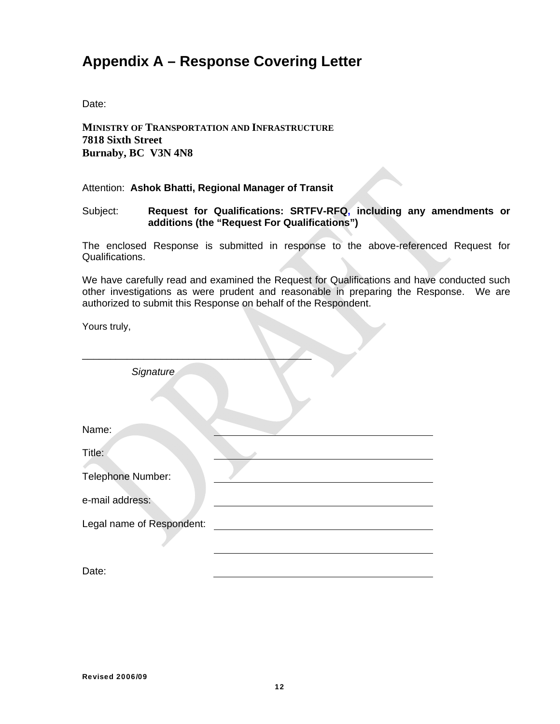# **Appendix A – Response Covering Letter**

Date:

**MINISTRY OF TRANSPORTATION AND INFRASTRUCTURE 7818 Sixth Street Burnaby, BC V3N 4N8** 

Attention: **Ashok Bhatti, Regional Manager of Transit**

Subject: **Request for Qualifications: SRTFV-RFQ, including any amendments or additions (the "Request For Qualifications")** 

The enclosed Response is submitted in response to the above-referenced Request for Qualifications.

We have carefully read and examined the Request for Qualifications and have conducted such other investigations as were prudent and reasonable in preparing the Response. We are authorized to submit this Response on behalf of the Respondent.

Yours truly,

| Signature                 |  |
|---------------------------|--|
|                           |  |
| Name:                     |  |
| Title:                    |  |
| Telephone Number:         |  |
| e-mail address:           |  |
| Legal name of Respondent: |  |
| Date:                     |  |